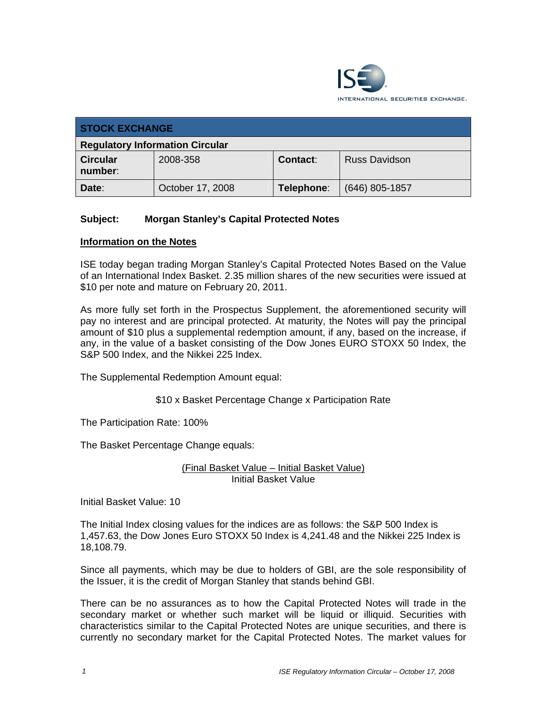

| <b>STOCK EXCHANGE</b>                  |                  |            |                      |  |  |
|----------------------------------------|------------------|------------|----------------------|--|--|
| <b>Regulatory Information Circular</b> |                  |            |                      |  |  |
| <b>Circular</b><br>number:             | 2008-358         | Contact:   | <b>Russ Davidson</b> |  |  |
| Date:                                  | October 17, 2008 | Telephone: | $(646)$ 805-1857     |  |  |

## **Subject: Morgan Stanley's Capital Protected Notes**

## **Information on the Notes**

ISE today began trading Morgan Stanley's Capital Protected Notes Based on the Value of an International Index Basket. 2.35 million shares of the new securities were issued at \$10 per note and mature on February 20, 2011.

As more fully set forth in the Prospectus Supplement, the aforementioned security will pay no interest and are principal protected. At maturity, the Notes will pay the principal amount of \$10 plus a supplemental redemption amount, if any, based on the increase, if any, in the value of a basket consisting of the Dow Jones EURO STOXX 50 Index, the S&P 500 Index, and the Nikkei 225 Index.

The Supplemental Redemption Amount equal:

\$10 x Basket Percentage Change x Participation Rate

The Participation Rate: 100%

The Basket Percentage Change equals:

(Final Basket Value – Initial Basket Value) Initial Basket Value

Initial Basket Value: 10

The Initial Index closing values for the indices are as follows: the S&P 500 Index is 1,457.63, the Dow Jones Euro STOXX 50 Index is 4,241.48 and the Nikkei 225 Index is 18,108.79.

Since all payments, which may be due to holders of GBI, are the sole responsibility of the Issuer, it is the credit of Morgan Stanley that stands behind GBI.

There can be no assurances as to how the Capital Protected Notes will trade in the secondary market or whether such market will be liquid or illiquid. Securities with characteristics similar to the Capital Protected Notes are unique securities, and there is currently no secondary market for the Capital Protected Notes. The market values for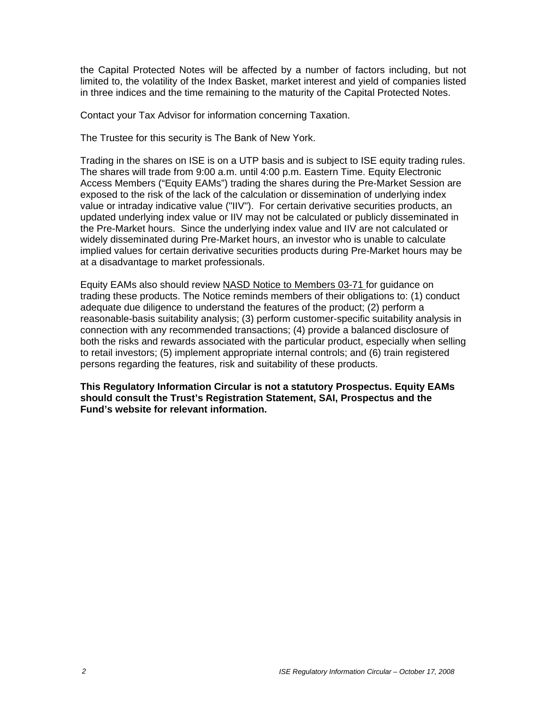the Capital Protected Notes will be affected by a number of factors including, but not limited to, the volatility of the Index Basket, market interest and yield of companies listed in three indices and the time remaining to the maturity of the Capital Protected Notes.

Contact your Tax Advisor for information concerning Taxation.

The Trustee for this security is The Bank of New York.

Trading in the shares on ISE is on a UTP basis and is subject to ISE equity trading rules. The shares will trade from 9:00 a.m. until 4:00 p.m. Eastern Time. Equity Electronic Access Members ("Equity EAMs") trading the shares during the Pre-Market Session are exposed to the risk of the lack of the calculation or dissemination of underlying index value or intraday indicative value ("IIV"). For certain derivative securities products, an updated underlying index value or IIV may not be calculated or publicly disseminated in the Pre-Market hours. Since the underlying index value and IIV are not calculated or widely disseminated during Pre-Market hours, an investor who is unable to calculate implied values for certain derivative securities products during Pre-Market hours may be at a disadvantage to market professionals.

Equity EAMs also should review NASD Notice to Members 03-71 for guidance on trading these products. The Notice reminds members of their obligations to: (1) conduct adequate due diligence to understand the features of the product; (2) perform a reasonable-basis suitability analysis; (3) perform customer-specific suitability analysis in connection with any recommended transactions; (4) provide a balanced disclosure of both the risks and rewards associated with the particular product, especially when selling to retail investors; (5) implement appropriate internal controls; and (6) train registered persons regarding the features, risk and suitability of these products.

**This Regulatory Information Circular is not a statutory Prospectus. Equity EAMs should consult the Trust's Registration Statement, SAI, Prospectus and the Fund's website for relevant information.**